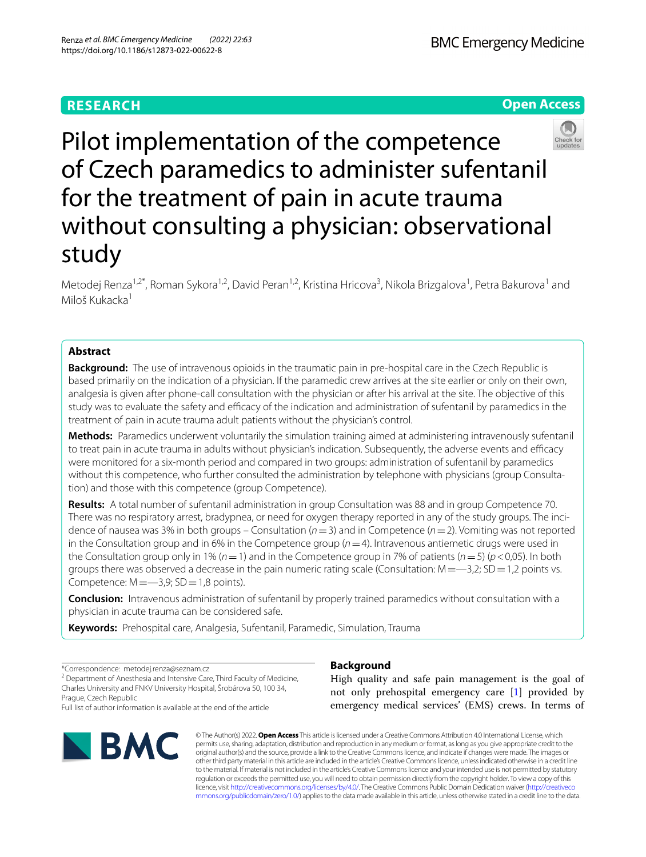**BMC Emergency Medicine** 

**Open Access**

# Pilot implementation of the competence of Czech paramedics to administer sufentanil for the treatment of pain in acute trauma without consulting a physician: observational study

Metodej Renza<sup>1,2\*</sup>, Roman Sykora<sup>1,2</sup>, David Peran<sup>1,2</sup>, Kristina Hricova<sup>3</sup>, Nikola Brizgalova<sup>1</sup>, Petra Bakurova<sup>1</sup> and Miloš Kukacka<sup>1</sup>

# **Abstract**

**Background:** The use of intravenous opioids in the traumatic pain in pre-hospital care in the Czech Republic is based primarily on the indication of a physician. If the paramedic crew arrives at the site earlier or only on their own, analgesia is given after phone-call consultation with the physician or after his arrival at the site. The objective of this study was to evaluate the safety and efficacy of the indication and administration of sufentanil by paramedics in the treatment of pain in acute trauma adult patients without the physician's control.

**Methods:** Paramedics underwent voluntarily the simulation training aimed at administering intravenously sufentanil to treat pain in acute trauma in adults without physician's indication. Subsequently, the adverse events and efficacy were monitored for a six-month period and compared in two groups: administration of sufentanil by paramedics without this competence, who further consulted the administration by telephone with physicians (group Consultation) and those with this competence (group Competence).

**Results:** A total number of sufentanil administration in group Consultation was 88 and in group Competence 70. There was no respiratory arrest, bradypnea, or need for oxygen therapy reported in any of the study groups. The incidence of nausea was 3% in both groups – Consultation (*n*=3) and in Competence (*n*=2). Vomiting was not reported in the Consultation group and in 6% in the Competence group (*n*=4). Intravenous antiemetic drugs were used in the Consultation group only in 1% (*n*=1) and in the Competence group in 7% of patients (*n*=5) (*p*<0,05). In both groups there was observed a decrease in the pain numeric rating scale (Consultation:  $M = -3.2$ ; SD = 1,2 points vs. Competence:  $M = -3.9$ ; SD = 1,8 points).

**Conclusion:** Intravenous administration of sufentanil by properly trained paramedics without consultation with a physician in acute trauma can be considered safe.

**Keywords:** Prehospital care, Analgesia, Sufentanil, Paramedic, Simulation, Trauma

\*Correspondence: metodej.renza@seznam.cz

<sup>2</sup> Department of Anesthesia and Intensive Care, Third Faculty of Medicine, Charles University and FNKV University Hospital, Šrobárova 50, 100 34, Prague, Czech Republic

Full list of author information is available at the end of the article



## **Background**

High quality and safe pain management is the goal of not only prehospital emergency care [[1\]](#page-6-0) provided by emergency medical services' (EMS) crews. In terms of

© The Author(s) 2022. **Open Access** This article is licensed under a Creative Commons Attribution 4.0 International License, which permits use, sharing, adaptation, distribution and reproduction in any medium or format, as long as you give appropriate credit to the original author(s) and the source, provide a link to the Creative Commons licence, and indicate if changes were made. The images or other third party material in this article are included in the article's Creative Commons licence, unless indicated otherwise in a credit line to the material. If material is not included in the article's Creative Commons licence and your intended use is not permitted by statutory regulation or exceeds the permitted use, you will need to obtain permission directly from the copyright holder. To view a copy of this licence, visit [http://creativecommons.org/licenses/by/4.0/.](http://creativecommons.org/licenses/by/4.0/) The Creative Commons Public Domain Dedication waiver ([http://creativeco](http://creativecommons.org/publicdomain/zero/1.0/) [mmons.org/publicdomain/zero/1.0/](http://creativecommons.org/publicdomain/zero/1.0/)) applies to the data made available in this article, unless otherwise stated in a credit line to the data.

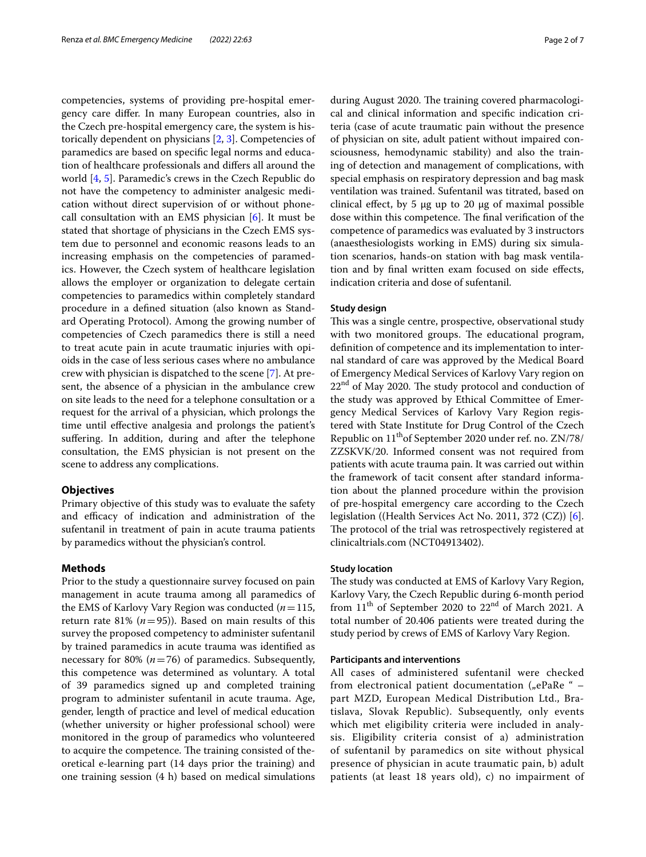competencies, systems of providing pre-hospital emergency care difer. In many European countries, also in the Czech pre-hospital emergency care, the system is historically dependent on physicians [\[2](#page-6-1), [3\]](#page-6-2). Competencies of paramedics are based on specifc legal norms and education of healthcare professionals and difers all around the world [\[4](#page-6-3), [5\]](#page-6-4). Paramedic's crews in the Czech Republic do not have the competency to administer analgesic medication without direct supervision of or without phonecall consultation with an EMS physician [[6\]](#page-6-5). It must be stated that shortage of physicians in the Czech EMS system due to personnel and economic reasons leads to an increasing emphasis on the competencies of paramedics. However, the Czech system of healthcare legislation allows the employer or organization to delegate certain competencies to paramedics within completely standard procedure in a defned situation (also known as Standard Operating Protocol). Among the growing number of competencies of Czech paramedics there is still a need to treat acute pain in acute traumatic injuries with opioids in the case of less serious cases where no ambulance crew with physician is dispatched to the scene [[7\]](#page-6-6). At present, the absence of a physician in the ambulance crew on site leads to the need for a telephone consultation or a request for the arrival of a physician, which prolongs the time until efective analgesia and prolongs the patient's suffering. In addition, during and after the telephone consultation, the EMS physician is not present on the scene to address any complications.

## **Objectives**

Primary objective of this study was to evaluate the safety and efficacy of indication and administration of the sufentanil in treatment of pain in acute trauma patients by paramedics without the physician's control.

## **Methods**

Prior to the study a questionnaire survey focused on pain management in acute trauma among all paramedics of the EMS of Karlovy Vary Region was conducted (*n*=115, return rate 81% ( $n=95$ )). Based on main results of this survey the proposed competency to administer sufentanil by trained paramedics in acute trauma was identifed as necessary for 80%  $(n=76)$  of paramedics. Subsequently, this competence was determined as voluntary. A total of 39 paramedics signed up and completed training program to administer sufentanil in acute trauma. Age, gender, length of practice and level of medical education (whether university or higher professional school) were monitored in the group of paramedics who volunteered to acquire the competence. The training consisted of theoretical e-learning part (14 days prior the training) and one training session (4 h) based on medical simulations during August 2020. The training covered pharmacological and clinical information and specifc indication criteria (case of acute traumatic pain without the presence of physician on site, adult patient without impaired consciousness, hemodynamic stability) and also the training of detection and management of complications, with special emphasis on respiratory depression and bag mask ventilation was trained. Sufentanil was titrated, based on clinical effect, by 5  $\mu$ g up to 20  $\mu$ g of maximal possible dose within this competence. The final verification of the competence of paramedics was evaluated by 3 instructors (anaesthesiologists working in EMS) during six simulation scenarios, hands-on station with bag mask ventilation and by fnal written exam focused on side efects, indication criteria and dose of sufentanil.

## **Study design**

This was a single centre, prospective, observational study with two monitored groups. The educational program, defnition of competence and its implementation to internal standard of care was approved by the Medical Board of Emergency Medical Services of Karlovy Vary region on  $22<sup>nd</sup>$  of May 2020. The study protocol and conduction of the study was approved by Ethical Committee of Emergency Medical Services of Karlovy Vary Region registered with State Institute for Drug Control of the Czech Republic on 11<sup>th</sup>of September 2020 under ref. no. ZN/78/ ZZSKVK/20. Informed consent was not required from patients with acute trauma pain. It was carried out within the framework of tacit consent after standard information about the planned procedure within the provision of pre-hospital emergency care according to the Czech legislation ((Health Services Act No. 2011, 372 (CZ)) [\[6](#page-6-5)]. The protocol of the trial was retrospectively registered at clinicaltrials.com (NCT04913402).

## **Study location**

The study was conducted at EMS of Karlovy Vary Region, Karlovy Vary, the Czech Republic during 6-month period from  $11<sup>th</sup>$  of September 2020 to  $22<sup>nd</sup>$  of March 2021. A total number of 20.406 patients were treated during the study period by crews of EMS of Karlovy Vary Region.

## **Participants and interventions**

All cases of administered sufentanil were checked from electronical patient documentation ("ePaRe "  $$ part MZD, European Medical Distribution Ltd., Bratislava, Slovak Republic). Subsequently, only events which met eligibility criteria were included in analysis. Eligibility criteria consist of a) administration of sufentanil by paramedics on site without physical presence of physician in acute traumatic pain, b) adult patients (at least 18 years old), c) no impairment of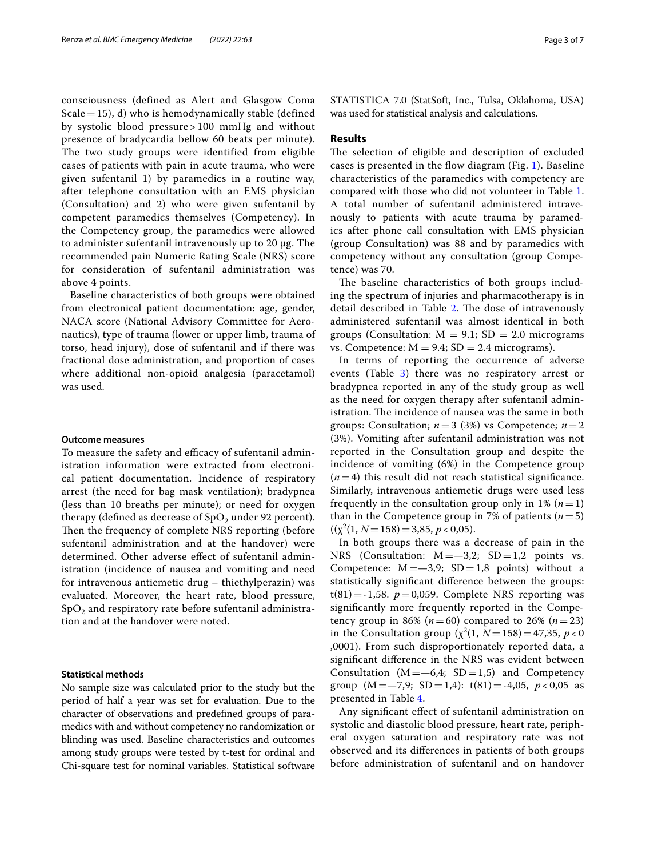consciousness (defined as Alert and Glasgow Coma Scale  $=$  15), d) who is hemodynamically stable (defined by systolic blood pressure > 100 mmHg and without presence of bradycardia bellow 60 beats per minute). The two study groups were identified from eligible cases of patients with pain in acute trauma, who were given sufentanil 1) by paramedics in a routine way, after telephone consultation with an EMS physician (Consultation) and 2) who were given sufentanil by competent paramedics themselves (Competency). In the Competency group, the paramedics were allowed to administer sufentanil intravenously up to 20 µg. The recommended pain Numeric Rating Scale (NRS) score for consideration of sufentanil administration was above 4 points.

Baseline characteristics of both groups were obtained from electronical patient documentation: age, gender, NACA score (National Advisory Committee for Aeronautics), type of trauma (lower or upper limb, trauma of torso, head injury), dose of sufentanil and if there was fractional dose administration, and proportion of cases where additional non-opioid analgesia (paracetamol) was used.

#### **Outcome measures**

To measure the safety and efficacy of sufentanil administration information were extracted from electronical patient documentation. Incidence of respiratory arrest (the need for bag mask ventilation); bradypnea (less than 10 breaths per minute); or need for oxygen therapy (defined as decrease of  $SpO<sub>2</sub>$  under 92 percent). Then the frequency of complete NRS reporting (before sufentanil administration and at the handover) were determined. Other adverse efect of sufentanil administration (incidence of nausea and vomiting and need for intravenous antiemetic drug – thiethylperazin) was evaluated. Moreover, the heart rate, blood pressure,  $SpO<sub>2</sub>$  and respiratory rate before sufentanil administration and at the handover were noted.

## **Statistical methods**

No sample size was calculated prior to the study but the period of half a year was set for evaluation. Due to the character of observations and predefned groups of paramedics with and without competency no randomization or blinding was used. Baseline characteristics and outcomes among study groups were tested by t-test for ordinal and Chi-square test for nominal variables. Statistical software STATISTICA 7.0 (StatSoft, Inc., Tulsa, Oklahoma, USA) was used for statistical analysis and calculations.

## **Results**

The selection of eligible and description of excluded cases is presented in the fow diagram (Fig. [1](#page-3-0)). Baseline characteristics of the paramedics with competency are compared with those who did not volunteer in Table [1](#page-3-1). A total number of sufentanil administered intravenously to patients with acute trauma by paramedics after phone call consultation with EMS physician (group Consultation) was 88 and by paramedics with competency without any consultation (group Competence) was 70.

The baseline characteristics of both groups including the spectrum of injuries and pharmacotherapy is in detail described in Table [2.](#page-4-0) The dose of intravenously administered sufentanil was almost identical in both groups (Consultation:  $M = 9.1$ ; SD = 2.0 micrograms vs. Competence:  $M = 9.4$ ;  $SD = 2.4$  micrograms).

In terms of reporting the occurrence of adverse events (Table [3](#page-4-1)) there was no respiratory arrest or bradypnea reported in any of the study group as well as the need for oxygen therapy after sufentanil administration. The incidence of nausea was the same in both groups: Consultation;  $n=3$  (3%) vs Competence;  $n=2$ (3%). Vomiting after sufentanil administration was not reported in the Consultation group and despite the incidence of vomiting (6%) in the Competence group  $(n=4)$  this result did not reach statistical significance. Similarly, intravenous antiemetic drugs were used less frequently in the consultation group only in  $1\%$   $(n=1)$ than in the Competence group in 7% of patients  $(n=5)$  $((\chi^2(1, N=158)=3,85, p<0,05).$ 

In both groups there was a decrease of pain in the NRS (Consultation:  $M = -3.2$ ; SD = 1,2 points vs. Competence:  $M = -3.9$ ;  $SD = 1.8$  points) without a statistically signifcant diference between the groups:  $t(81) = -1,58$ .  $p = 0,059$ . Complete NRS reporting was signifcantly more frequently reported in the Competency group in 86% ( $n = 60$ ) compared to 26% ( $n = 23$ ) in the Consultation group  $(\chi^2(1, N=158)=47,35, p<0)$ ,0001). From such disproportionately reported data, a signifcant diference in the NRS was evident between Consultation  $(M = -6.4; SD = 1.5)$  and Competency group  $(M = -7.9; SD = 1.4): t(81) = -4.05, p < 0.05$  as presented in Table [4.](#page-4-2)

Any signifcant efect of sufentanil administration on systolic and diastolic blood pressure, heart rate, peripheral oxygen saturation and respiratory rate was not observed and its diferences in patients of both groups before administration of sufentanil and on handover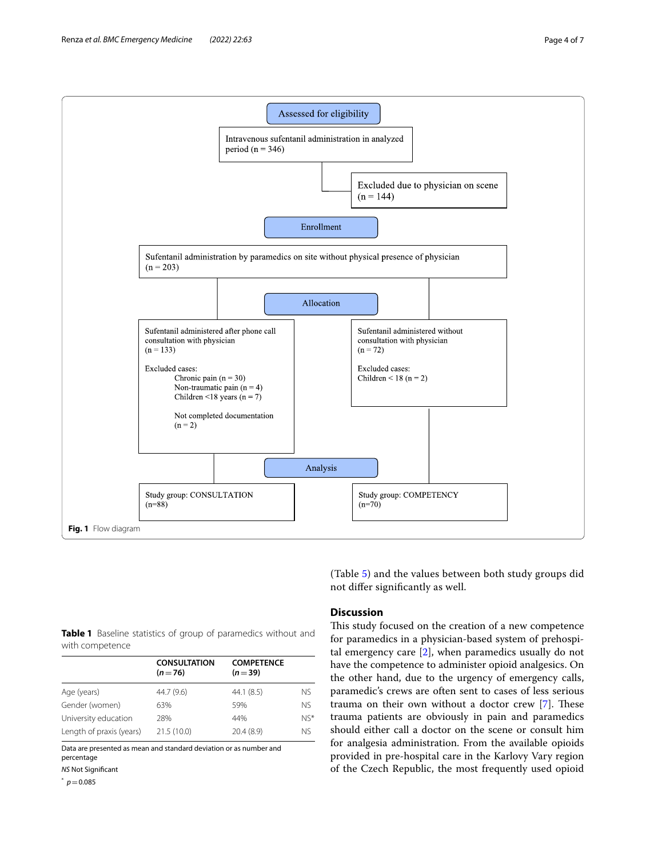

<span id="page-3-1"></span><span id="page-3-0"></span>**Table 1** Baseline statistics of group of paramedics without and with competence

|                          | <b>CONSULTATION</b><br>$(n=76)$ | <b>COMPETENCE</b><br>$(n=39)$ |           |
|--------------------------|---------------------------------|-------------------------------|-----------|
| Age (years)              | 44.7 (9.6)                      | 44.1(8.5)                     | <b>NS</b> |
| Gender (women)           | 63%                             | 59%                           | NS.       |
| University education     | 28%                             | 44%                           | $NS*$     |
| Length of praxis (years) | 21.5(10.0)                      | 20.4(8.9)                     | NS.       |
|                          |                                 |                               |           |

Data are presented as mean and standard deviation or as number and percentage

*NS* Not Signifcant

\*  $p = 0.085$  (Table [5\)](#page-5-0) and the values between both study groups did not difer signifcantly as well.

## **Discussion**

This study focused on the creation of a new competence for paramedics in a physician-based system of prehospital emergency care [[2\]](#page-6-1), when paramedics usually do not have the competence to administer opioid analgesics. On the other hand, due to the urgency of emergency calls, paramedic's crews are often sent to cases of less serious trauma on their own without a doctor crew  $[7]$  $[7]$ . These trauma patients are obviously in pain and paramedics should either call a doctor on the scene or consult him for analgesia administration. From the available opioids provided in pre-hospital care in the Karlovy Vary region of the Czech Republic, the most frequently used opioid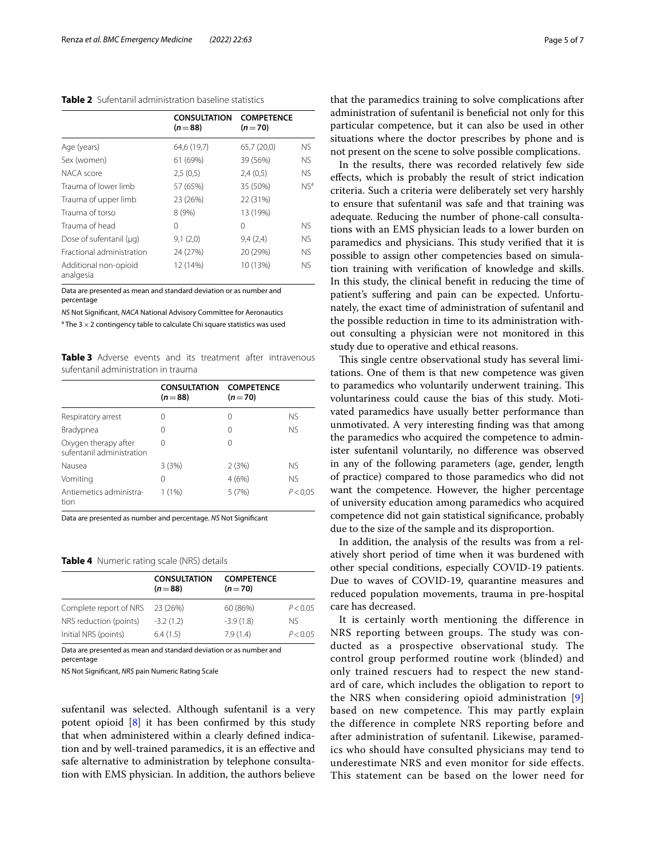## <span id="page-4-0"></span>**Table 2** Sufentanil administration baseline statistics

|                                    | <b>CONSULTATION</b><br>$(n=88)$ | <b>COMPETENCE</b><br>$(n=70)$ |                 |
|------------------------------------|---------------------------------|-------------------------------|-----------------|
| Age (years)                        | 64,6 (19,7)                     | 65,7 (20,0)                   | NS.             |
| Sex (women)                        | 61 (69%)                        | 39 (56%)                      | NS.             |
| NACA score                         | 2,5(0,5)                        | 2,4(0,5)                      | <b>NS</b>       |
| Trauma of lower limb               | 57 (65%)                        | 35 (50%)                      | NS <sup>a</sup> |
| Trauma of upper limb               | 23 (26%)                        | 22 (31%)                      |                 |
| Trauma of torso                    | 8(9%)                           | 13 (19%)                      |                 |
| Trauma of head                     | 0                               | 0                             | NS.             |
| Dose of sufentanil (µg)            | 9,1(2,0)                        | 9,4(2,4)                      | <b>NS</b>       |
| Fractional administration          | 24 (27%)                        | 20 (29%)                      | NS.             |
| Additional non-opioid<br>analgesia | 12 (14%)                        | 10 (13%)                      | <b>NS</b>       |

Data are presented as mean and standard deviation or as number and percentage

*NS* Not Signifcant, *NACA* National Advisory Committee for Aeronautics

<sup>a</sup> The 3  $\times$  2 contingency table to calculate Chi square statistics was used

<span id="page-4-1"></span>**Table 3** Adverse events and its treatment after intravenous sufentanil administration in trauma

|                                                   | <b>CONSULTATION</b><br>$(n=88)$ | <b>COMPETENCE</b><br>$(n=70)$ |           |  |
|---------------------------------------------------|---------------------------------|-------------------------------|-----------|--|
| Respiratory arrest                                | O                               | 0                             | <b>NS</b> |  |
| Bradypnea                                         | 0                               | 0                             | <b>NS</b> |  |
| Oxygen therapy after<br>sufentanil administration | 0                               | 0                             |           |  |
| Nausea                                            | 3(3%)                           | 2(3%)                         | <b>NS</b> |  |
| Vomiting                                          | O                               | 4(6%)                         | <b>NS</b> |  |
| Antiemetics administra-<br>tion                   | 1(1%)                           | 5(7%)                         | P < 0.05  |  |

Data are presented as number and percentage. *NS* Not Signifcant

#### <span id="page-4-2"></span>**Table 4** Numeric rating scale (NRS) details

|                        | <b>CONSULTATION</b><br>$(n=88)$ | <b>COMPETENCE</b><br>$(n=70)$ |          |
|------------------------|---------------------------------|-------------------------------|----------|
| Complete report of NRS | 23 (26%)                        | 60 (86%)                      | P < 0.05 |
| NRS reduction (points) | $-3.2(1.2)$                     | $-3.9(1.8)$                   | Nς       |
| Initial NRS (points)   | 6.4(1.5)                        | 7.9(1.4)                      | P < 0.05 |

Data are presented as mean and standard deviation or as number and percentage

NS Not Signifcant, *NRS* pain Numeric Rating Scale

sufentanil was selected. Although sufentanil is a very potent opioid [[8\]](#page-6-7) it has been confrmed by this study that when administered within a clearly defned indication and by well-trained paramedics, it is an efective and safe alternative to administration by telephone consultation with EMS physician. In addition, the authors believe that the paramedics training to solve complications after administration of sufentanil is benefcial not only for this particular competence, but it can also be used in other situations where the doctor prescribes by phone and is not present on the scene to solve possible complications.

In the results, there was recorded relatively few side efects, which is probably the result of strict indication criteria. Such a criteria were deliberately set very harshly to ensure that sufentanil was safe and that training was adequate. Reducing the number of phone-call consultations with an EMS physician leads to a lower burden on paramedics and physicians. This study verified that it is possible to assign other competencies based on simulation training with verifcation of knowledge and skills. In this study, the clinical beneft in reducing the time of patient's suffering and pain can be expected. Unfortunately, the exact time of administration of sufentanil and the possible reduction in time to its administration without consulting a physician were not monitored in this study due to operative and ethical reasons.

This single centre observational study has several limitations. One of them is that new competence was given to paramedics who voluntarily underwent training. This voluntariness could cause the bias of this study. Motivated paramedics have usually better performance than unmotivated. A very interesting fnding was that among the paramedics who acquired the competence to administer sufentanil voluntarily, no diference was observed in any of the following parameters (age, gender, length of practice) compared to those paramedics who did not want the competence. However, the higher percentage of university education among paramedics who acquired competence did not gain statistical signifcance, probably due to the size of the sample and its disproportion.

In addition, the analysis of the results was from a relatively short period of time when it was burdened with other special conditions, especially COVID-19 patients. Due to waves of COVID-19, quarantine measures and reduced population movements, trauma in pre-hospital care has decreased.

It is certainly worth mentioning the difference in NRS reporting between groups. The study was conducted as a prospective observational study. The control group performed routine work (blinded) and only trained rescuers had to respect the new standard of care, which includes the obligation to report to the NRS when considering opioid administration [\[9](#page-6-8)] based on new competence. This may partly explain the difference in complete NRS reporting before and after administration of sufentanil. Likewise, paramedics who should have consulted physicians may tend to underestimate NRS and even monitor for side effects. This statement can be based on the lower need for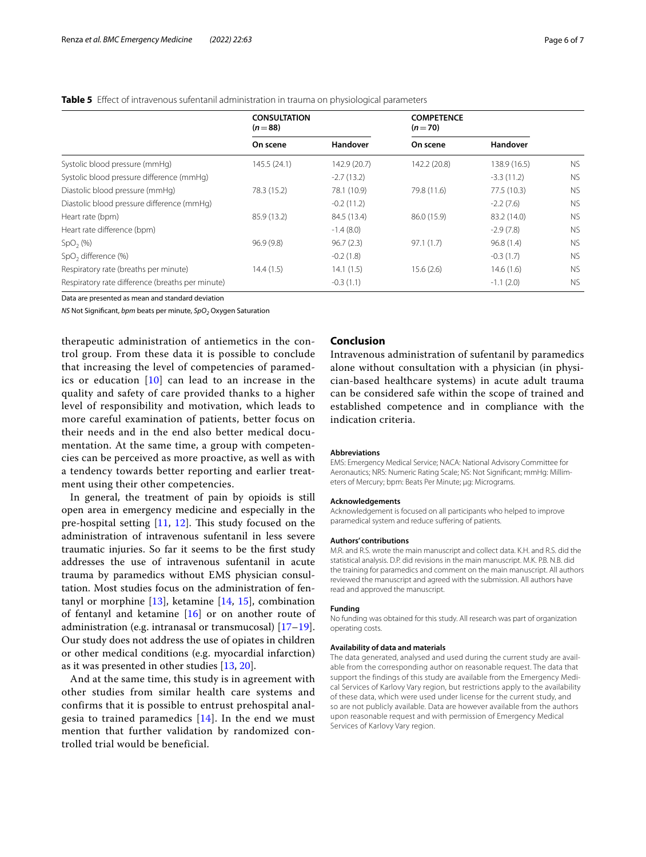## <span id="page-5-0"></span>**Table 5** Efect of intravenous sufentanil administration in trauma on physiological parameters

|                                                  | <b>CONSULTATION</b><br>$(n=88)$ |              | <b>COMPETENCE</b><br>$(n=70)$ |              |           |
|--------------------------------------------------|---------------------------------|--------------|-------------------------------|--------------|-----------|
|                                                  | On scene                        | Handover     | On scene                      | Handover     |           |
| Systolic blood pressure (mmHq)                   | 145.5(24.1)                     | 142.9 (20.7) | 142.2 (20.8)                  | 138.9 (16.5) | <b>NS</b> |
| Systolic blood pressure difference (mmHq)        |                                 | $-2.7(13.2)$ |                               | $-3.3(11.2)$ | <b>NS</b> |
| Diastolic blood pressure (mmHg)                  | 78.3 (15.2)                     | 78.1 (10.9)  | 79.8 (11.6)                   | 77.5 (10.3)  | <b>NS</b> |
| Diastolic blood pressure difference (mmHg)       |                                 | $-0.2(11.2)$ |                               | $-2.2(7.6)$  | <b>NS</b> |
| Heart rate (bpm)                                 | 85.9 (13.2)                     | 84.5 (13.4)  | 86.0 (15.9)                   | 83.2 (14.0)  | <b>NS</b> |
| Heart rate difference (bpm)                      |                                 | $-1.4(8.0)$  |                               | $-2.9(7.8)$  | <b>NS</b> |
| SpO <sub>2</sub> (%)                             | 96.9(9.8)                       | 96.7(2.3)    | 97.1(1.7)                     | 96.8(1.4)    | <b>NS</b> |
| SpO <sub>2</sub> difference (%)                  |                                 | $-0.2(1.8)$  |                               | $-0.3(1.7)$  | <b>NS</b> |
| Respiratory rate (breaths per minute)            | 14.4(1.5)                       | 14.1(1.5)    | 15.6(2.6)                     | 14.6(1.6)    | <b>NS</b> |
| Respiratory rate difference (breaths per minute) |                                 | $-0.3(1.1)$  |                               | $-1.1(2.0)$  | <b>NS</b> |

Data are presented as mean and standard deviation

*NS* Not Significant, *bpm* beats per minute, *SpO<sub>2</sub>* Oxygen Saturation

therapeutic administration of antiemetics in the control group. From these data it is possible to conclude that increasing the level of competencies of paramedics or education  $[10]$  $[10]$  can lead to an increase in the quality and safety of care provided thanks to a higher level of responsibility and motivation, which leads to more careful examination of patients, better focus on their needs and in the end also better medical documentation. At the same time, a group with competencies can be perceived as more proactive, as well as with a tendency towards better reporting and earlier treatment using their other competencies.

In general, the treatment of pain by opioids is still open area in emergency medicine and especially in the pre-hospital setting  $[11, 12]$  $[11, 12]$  $[11, 12]$  $[11, 12]$ . This study focused on the administration of intravenous sufentanil in less severe traumatic injuries. So far it seems to be the frst study addresses the use of intravenous sufentanil in acute trauma by paramedics without EMS physician consultation. Most studies focus on the administration of fentanyl or morphine  $[13]$  $[13]$ , ketamine  $[14, 15]$  $[14, 15]$  $[14, 15]$  $[14, 15]$  $[14, 15]$ , combination of fentanyl and ketamine [[16\]](#page-6-15) or on another route of administration (e.g. intranasal or transmucosal) [\[17](#page-6-16)[–19](#page-6-17)]. Our study does not address the use of opiates in children or other medical conditions (e.g. myocardial infarction) as it was presented in other studies [\[13](#page-6-12), [20\]](#page-6-18).

And at the same time, this study is in agreement with other studies from similar health care systems and confirms that it is possible to entrust prehospital analgesia to trained paramedics  $[14]$  $[14]$ . In the end we must mention that further validation by randomized controlled trial would be beneficial.

## **Conclusion**

Intravenous administration of sufentanil by paramedics alone without consultation with a physician (in physician-based healthcare systems) in acute adult trauma can be considered safe within the scope of trained and established competence and in compliance with the indication criteria.

#### **Abbreviations**

EMS: Emergency Medical Service; NACA: National Advisory Committee for Aeronautics; NRS: Numeric Rating Scale; NS: Not Signifcant; mmHg: Millimeters of Mercury; bpm: Beats Per Minute; µg: Micrograms.

#### **Acknowledgements**

Acknowledgement is focused on all participants who helped to improve paramedical system and reduce suffering of patients.

#### **Authors' contributions**

M.R. and R.S. wrote the main manuscript and collect data. K.H. and R.S. did the statistical analysis. D.P. did revisions in the main manuscript. M.K. P.B. N.B. did the training for paramedics and comment on the main manuscript. All authors reviewed the manuscript and agreed with the submission. All authors have read and approved the manuscript.

## **Funding**

No funding was obtained for this study. All research was part of organization operating costs.

#### **Availability of data and materials**

The data generated, analysed and used during the current study are available from the corresponding author on reasonable request. The data that support the findings of this study are available from the Emergency Medical Services of Karlovy Vary region, but restrictions apply to the availability of these data, which were used under license for the current study, and so are not publicly available. Data are however available from the authors upon reasonable request and with permission of Emergency Medical Services of Karlovy Vary region.